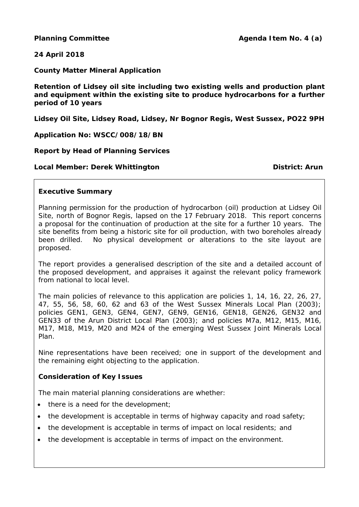# **24 April 2018**

**County Matter Mineral Application**

**Retention of Lidsey oil site including two existing wells and production plant and equipment within the existing site to produce hydrocarbons for a further period of 10 years**

**Lidsey Oil Site, Lidsey Road, Lidsey, Nr Bognor Regis, West Sussex, PO22 9PH**

**Application No: WSCC/008/18/BN**

## **Report by Head of Planning Services**

## **Local Member: Derek Whittington District: District:** Arun

## **Executive Summary**

Planning permission for the production of hydrocarbon (oil) production at Lidsey Oil Site, north of Bognor Regis, lapsed on the 17 February 2018. This report concerns a proposal for the continuation of production at the site for a further 10 years. The site benefits from being a historic site for oil production, with two boreholes already been drilled. No physical development or alterations to the site layout are proposed.

The report provides a generalised description of the site and a detailed account of the proposed development, and appraises it against the relevant policy framework from national to local level.

The main policies of relevance to this application are policies 1, 14, 16, 22, 26, 27, 47, 55, 56, 58, 60, 62 and 63 of the West Sussex Minerals Local Plan (2003); policies GEN1, GEN3, GEN4, GEN7, GEN9, GEN16, GEN18, GEN26, GEN32 and GEN33 of the Arun District Local Plan (2003); and policies M7a, M12, M15, M16, M17, M18, M19, M20 and M24 of the emerging West Sussex Joint Minerals Local Plan.

Nine representations have been received; one in support of the development and the remaining eight objecting to the application.

# **Consideration of Key Issues**

The main material planning considerations are whether:

- there is a need for the development;
- the development is acceptable in terms of highway capacity and road safety;
- the development is acceptable in terms of impact on local residents; and
- the development is acceptable in terms of impact on the environment.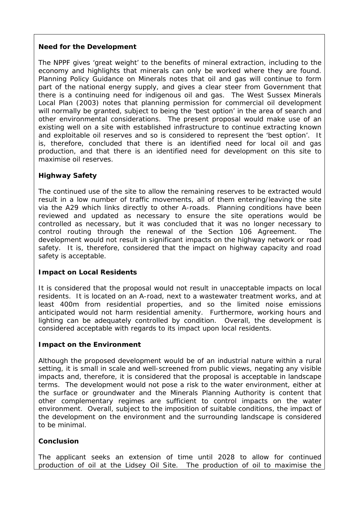# *Need for the Development*

The NPPF gives 'great weight' to the benefits of mineral extraction, including to the economy and highlights that minerals can only be worked where they are found. Planning Policy Guidance on Minerals notes that oil and gas will continue to form part of the national energy supply, and gives a clear steer from Government that there is a continuing need for indigenous oil and gas. The West Sussex Minerals Local Plan (2003) notes that planning permission for commercial oil development will normally be granted, subject to being the 'best option' in the area of search and other environmental considerations. The present proposal would make use of an existing well on a site with established infrastructure to continue extracting known and exploitable oil reserves and so is considered to represent the 'best option'. It is, therefore, concluded that there is an identified need for local oil and gas production, and that there is an identified need for development on this site to maximise oil reserves.

# *Highway Safety*

The continued use of the site to allow the remaining reserves to be extracted would result in a low number of traffic movements, all of them entering/leaving the site via the A29 which links directly to other A-roads. Planning conditions have been reviewed and updated as necessary to ensure the site operations would be controlled as necessary, but it was concluded that it was no longer necessary to control routing through the renewal of the Section 106 Agreement. The development would not result in significant impacts on the highway network or road safety. It is, therefore, considered that the impact on highway capacity and road safety is acceptable.

# *Impact on Local Residents*

It is considered that the proposal would not result in unacceptable impacts on local residents. It is located on an A-road, next to a wastewater treatment works, and at least 400m from residential properties, and so the limited noise emissions anticipated would not harm residential amenity. Furthermore, working hours and lighting can be adequately controlled by condition. Overall, the development is considered acceptable with regards to its impact upon local residents.

# *Impact on the Environment*

Although the proposed development would be of an industrial nature within a rural setting, it is small in scale and well-screened from public views, negating any visible impacts and, therefore, it is considered that the proposal is acceptable in landscape terms. The development would not pose a risk to the water environment, either at the surface or groundwater and the Minerals Planning Authority is content that other complementary regimes are sufficient to control impacts on the water environment. Overall, subject to the imposition of suitable conditions, the impact of the development on the environment and the surrounding landscape is considered to be minimal.

# **Conclusion**

The applicant seeks an extension of time until 2028 to allow for continued production of oil at the Lidsey Oil Site. The production of oil to maximise the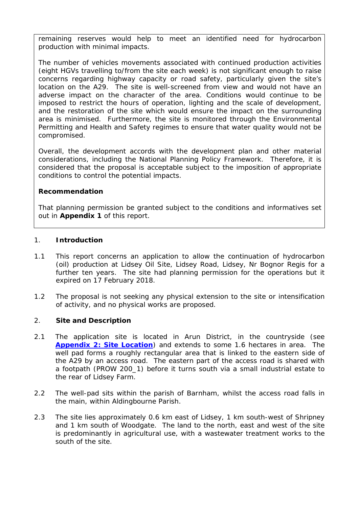remaining reserves would help to meet an identified need for hydrocarbon production with minimal impacts.

The number of vehicles movements associated with continued production activities (eight HGVs travelling to/from the site each week) is not significant enough to raise concerns regarding highway capacity or road safety, particularly given the site's location on the A29. The site is well-screened from view and would not have an adverse impact on the character of the area. Conditions would continue to be imposed to restrict the hours of operation, lighting and the scale of development, and the restoration of the site which would ensure the impact on the surrounding area is minimised. Furthermore, the site is monitored through the Environmental Permitting and Health and Safety regimes to ensure that water quality would not be compromised.

Overall, the development accords with the development plan and other material considerations, including the National Planning Policy Framework. Therefore, it is considered that the proposal is acceptable subject to the imposition of appropriate conditions to control the potential impacts.

## **Recommendation**

That planning permission be granted subject to the conditions and informatives set out in **Appendix 1** of this report.

## 1. **Introduction**

- 1.1 This report concerns an application to allow the continuation of hydrocarbon (oil) production at Lidsey Oil Site, Lidsey Road, Lidsey, Nr Bognor Regis for a further ten years. The site had planning permission for the operations but it expired on 17 February 2018.
- 1.2 The proposal is not seeking any physical extension to the site or intensification of activity, and no physical works are proposed.

# 2. **Site and Description**

- 2.1 The application site is located in Arun District, in the countryside (see **[Appendix 2: Site Location](http://www2.westsussex.gov.uk/ds/cttee/plng/plng240418i4a2.pdf)**) and extends to some 1.6 hectares in area. The well pad forms a roughly rectangular area that is linked to the eastern side of the A29 by an access road. The eastern part of the access road is shared with a footpath (PROW 200\_1) before it turns south via a small industrial estate to the rear of Lidsey Farm.
- 2.2 The well-pad sits within the parish of Barnham, whilst the access road falls in the main, within Aldingbourne Parish.
- 2.3 The site lies approximately 0.6 km east of Lidsey, 1 km south-west of Shripney and 1 km south of Woodgate. The land to the north, east and west of the site is predominantly in agricultural use, with a wastewater treatment works to the south of the site.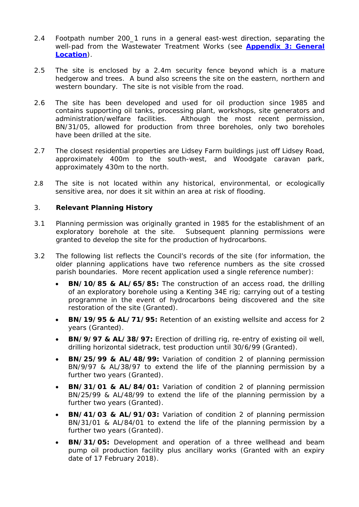- 2.4 Footpath number 200\_1 runs in a general east-west direction, separating the well-pad from the Wastewater Treatment Works (see **[Appendix 3: General](http://www2.westsussex.gov.uk/ds/cttee/plng/plng240418i4a3.pdf) [Location](http://www2.westsussex.gov.uk/ds/cttee/plng/plng240418i4a3.pdf)**).
- 2.5 The site is enclosed by a 2.4m security fence beyond which is a mature hedgerow and trees. A bund also screens the site on the eastern, northern and western boundary. The site is not visible from the road.
- 2.6 The site has been developed and used for oil production since 1985 and contains supporting oil tanks, processing plant, workshops, site generators and administration/welfare facilities. Although the most recent permission, BN/31/05, allowed for production from three boreholes, only two boreholes have been drilled at the site.
- 2.7 The closest residential properties are Lidsey Farm buildings just off Lidsey Road, approximately 400m to the south-west, and Woodgate caravan park, approximately 430m to the north.
- 2.8 The site is not located within any historical, environmental, or ecologically sensitive area, nor does it sit within an area at risk of flooding.

## 3. **Relevant Planning History**

- 3.1 Planning permission was originally granted in 1985 for the establishment of an exploratory borehole at the site. Subsequent planning permissions were granted to develop the site for the production of hydrocarbons.
- 3.2 The following list reflects the Council's records of the site (for information, the older planning applications have two reference numbers as the site crossed parish boundaries. More recent application used a single reference number):
	- **BN/10/85 & AL/65/85:** The construction of an access road, the drilling of an exploratory borehole using a Kenting 34E rig; carrying out of a testing programme in the event of hydrocarbons being discovered and the site restoration of the site (Granted).
	- **BN/19/95 & AL/71/95:** Retention of an existing wellsite and access for 2 years (Granted).
	- **BN/9/97 & AL/38/97:** Erection of drilling rig, re-entry of existing oil well, drilling horizontal sidetrack, test production until 30/6/99 (Granted).
	- **BN/25/99 & AL/48/99:** Variation of condition 2 of planning permission BN/9/97 & AL/38/97 to extend the life of the planning permission by a further two years (Granted).
	- **BN/31/01 & AL/84/01:** Variation of condition 2 of planning permission BN/25/99 & AL/48/99 to extend the life of the planning permission by a further two years (Granted).
	- **BN/41/03 & AL/91/03:** Variation of condition 2 of planning permission BN/31/01 & AL/84/01 to extend the life of the planning permission by a further two years (Granted).
	- **BN/31/05:** Development and operation of a three wellhead and beam pump oil production facility plus ancillary works (Granted with an expiry date of 17 February 2018).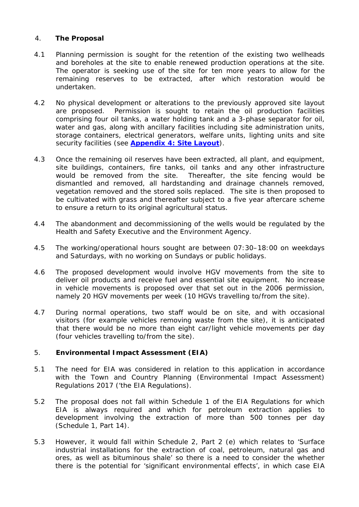# 4. **The Proposal**

- 4.1 Planning permission is sought for the retention of the existing two wellheads and boreholes at the site to enable renewed production operations at the site. The operator is seeking use of the site for ten more years to allow for the remaining reserves to be extracted, after which restoration would be undertaken.
- 4.2 No physical development or alterations to the previously approved site layout are proposed. Permission is sought to retain the oil production facilities comprising four oil tanks, a water holding tank and a 3-phase separator for oil, water and gas, along with ancillary facilities including site administration units, storage containers, electrical generators, welfare units, lighting units and site security facilities (see **[Appendix 4: Site Layout](http://www2.westsussex.gov.uk/ds/cttee/plng/plng240418i4a4.pdf)**).
- 4.3 Once the remaining oil reserves have been extracted, all plant, and equipment, site buildings, containers, fire tanks, oil tanks and any other infrastructure would be removed from the site. Thereafter, the site fencing would be dismantled and removed, all hardstanding and drainage channels removed, vegetation removed and the stored soils replaced. The site is then proposed to be cultivated with grass and thereafter subject to a five year aftercare scheme to ensure a return to its original agricultural status.
- 4.4 The abandonment and decommissioning of the wells would be regulated by the Health and Safety Executive and the Environment Agency.
- 4.5 The working/operational hours sought are between 07:30–18:00 on weekdays and Saturdays, with no working on Sundays or public holidays.
- 4.6 The proposed development would involve HGV movements from the site to deliver oil products and receive fuel and essential site equipment. No increase in vehicle movements is proposed over that set out in the 2006 permission, namely 20 HGV movements per week (10 HGVs travelling to/from the site).
- 4.7 During normal operations, two staff would be on site, and with occasional visitors (for example vehicles removing waste from the site), it is anticipated that there would be no more than eight car/light vehicle movements per day (four vehicles travelling to/from the site).

## 5. **Environmental Impact Assessment (EIA)**

- 5.1 The need for EIA was considered in relation to this application in accordance with the Town and Country Planning (Environmental Impact Assessment) Regulations 2017 ('the EIA Regulations).
- 5.2 The proposal does not fall within Schedule 1 of the EIA Regulations for which EIA is always required and which for petroleum extraction applies to development involving the extraction of more than 500 tonnes per day (Schedule 1, Part 14).
- 5.3 However, it would fall within Schedule 2, Part 2 (e) which relates to 'Surface industrial installations for the extraction of coal, petroleum, natural gas and ores, as well as bituminous shale' so there is a need to consider the whether there is the potential for 'significant environmental effects', in which case EIA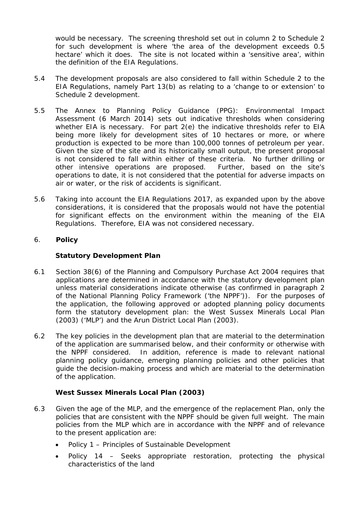would be necessary. The screening threshold set out in column 2 to Schedule 2 for such development is where 'the area of the development exceeds 0.5 hectare' which it does. The site is not located within a 'sensitive area', within the definition of the EIA Regulations.

- 5.4 The development proposals are also considered to fall within Schedule 2 to the EIA Regulations, namely Part 13(b) as relating to a 'change to or extension' to Schedule 2 development.
- 5.5 The Annex to Planning Policy Guidance (PPG): Environmental Impact Assessment (6 March 2014) sets out indicative thresholds when considering whether EIA is necessary. For part 2(e) the indicative thresholds refer to EIA being more likely for development sites of 10 hectares or more, or where production is expected to be more than 100,000 tonnes of petroleum per year. Given the size of the site and its historically small output, the present proposal is not considered to fall within either of these criteria. No further drilling or other intensive operations are proposed. Further, based on the site's operations to date, it is not considered that the potential for adverse impacts on air or water, or the risk of accidents is significant.
- 5.6 Taking into account the EIA Regulations 2017, as expanded upon by the above considerations, it is considered that the proposals would not have the potential for significant effects on the environment within the meaning of the EIA Regulations. Therefore, EIA was not considered necessary.

# 6. **Policy**

# *Statutory Development Plan*

- 6.1 Section 38(6) of the Planning and Compulsory Purchase Act 2004 requires that applications are determined in accordance with the statutory development plan unless material considerations indicate otherwise (as confirmed in paragraph 2 of the National Planning Policy Framework ('the NPPF')). For the purposes of the application, the following approved or adopted planning policy documents form the statutory development plan: the West Sussex Minerals Local Plan (2003) ('MLP') and the Arun District Local Plan (2003).
- 6.2 The key policies in the development plan that are material to the determination of the application are summarised below, and their conformity or otherwise with the NPPF considered. In addition, reference is made to relevant national planning policy guidance, emerging planning policies and other policies that guide the decision-making process and which are material to the determination of the application.

# *West Sussex Minerals Local Plan (2003)*

- 6.3 Given the age of the MLP, and the emergence of the replacement Plan, only the policies that are consistent with the NPPF should be given full weight. The main policies from the MLP which are in accordance with the NPPF and of relevance to the present application are:
	- Policy 1 Principles of Sustainable Development
	- Policy 14 Seeks appropriate restoration, protecting the physical characteristics of the land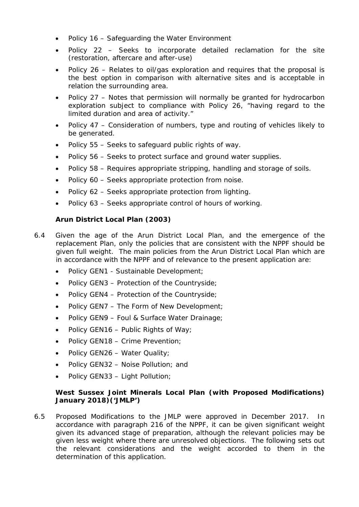- Policy 16 Safeguarding the Water Environment
- Policy 22 Seeks to incorporate detailed reclamation for the site (restoration, aftercare and after-use)
- Policy 26 Relates to oil/gas exploration and requires that the proposal is the best option in comparison with alternative sites and is acceptable in relation the surrounding area.
- Policy 27 Notes that permission will normally be granted for hydrocarbon exploration subject to compliance with Policy 26, *"having regard to the limited duration and area of activity."*
- Policy 47 Consideration of numbers, type and routing of vehicles likely to be generated.
- Policy 55 Seeks to safeguard public rights of way.
- Policy 56 Seeks to protect surface and ground water supplies.
- Policy 58 Requires appropriate stripping, handling and storage of soils.
- Policy 60 Seeks appropriate protection from noise.
- Policy 62 Seeks appropriate protection from lighting.
- Policy 63 Seeks appropriate control of hours of working.

# *Arun District Local Plan (2003)*

- 6.4 Given the age of the Arun District Local Plan, and the emergence of the replacement Plan, only the policies that are consistent with the NPPF should be given full weight. The main policies from the Arun District Local Plan which are in accordance with the NPPF and of relevance to the present application are:
	- Policy GEN1 Sustainable Development;
	- Policy GEN3 Protection of the Countryside;
	- Policy GEN4 Protection of the Countryside;
	- Policy GEN7 The Form of New Development;
	- Policy GEN9 Foul & Surface Water Drainage;
	- Policy GEN16 Public Rights of Way;
	- Policy GEN18 Crime Prevention;
	- Policy GEN26 Water Quality;
	- Policy GEN32 Noise Pollution; and
	- Policy GEN33 Light Pollution;

# *West Sussex Joint Minerals Local Plan (with Proposed Modifications) January 2018)('JMLP')*

6.5 Proposed Modifications to the JMLP were approved in December 2017. In accordance with paragraph 216 of the NPPF, it can be given significant weight given its advanced stage of preparation, although the relevant policies may be given less weight where there are unresolved objections. The following sets out the relevant considerations and the weight accorded to them in the determination of this application.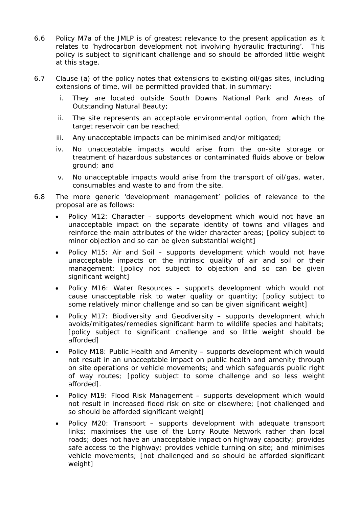- 6.6 Policy M7a of the JMLP is of greatest relevance to the present application as it relates to 'hydrocarbon development not involving hydraulic fracturing'. This policy is subject to significant challenge and so should be afforded little weight at this stage.
- 6.7 Clause (a) of the policy notes that extensions to existing oil/gas sites, including extensions of time, will be permitted provided that, in summary:
	- i. They are located outside South Downs National Park and Areas of Outstanding Natural Beauty;
	- ii. The site represents an acceptable environmental option, from which the target reservoir can be reached;
	- iii. Any unacceptable impacts can be minimised and/or mitigated;
	- iv. No unacceptable impacts would arise from the on-site storage or treatment of hazardous substances or contaminated fluids above or below ground; and
	- v. No unacceptable impacts would arise from the transport of oil/gas, water, consumables and waste to and from the site.
- 6.8 The more generic 'development management' policies of relevance to the proposal are as follows:
	- Policy M12: Character supports development which would not have an unacceptable impact on the separate identity of towns and villages and reinforce the main attributes of the wider character areas; [policy subject to minor objection and so can be given substantial weight]
	- Policy M15: Air and Soil supports development which would not have unacceptable impacts on the intrinsic quality of air and soil or their management; [policy not subject to objection and so can be given significant weight]
	- Policy M16: Water Resources supports development which would not cause unacceptable risk to water quality or quantity; [policy subject to some relatively minor challenge and so can be given significant weight]
	- Policy M17: Biodiversity and Geodiversity supports development which avoids/mitigates/remedies significant harm to wildlife species and habitats; [policy subject to significant challenge and so little weight should be afforded]
	- Policy M18: Public Health and Amenity supports development which would not result in an unacceptable impact on public health and amenity through on site operations or vehicle movements; and which safeguards public right of way routes; [policy subject to some challenge and so less weight afforded].
	- Policy M19: Flood Risk Management supports development which would not result in increased flood risk on site or elsewhere; [not challenged and so should be afforded significant weight]
	- Policy M20: Transport supports development with adequate transport links; maximises the use of the Lorry Route Network rather than local roads; does not have an unacceptable impact on highway capacity; provides safe access to the highway; provides vehicle turning on site; and minimises vehicle movements; [not challenged and so should be afforded significant weight]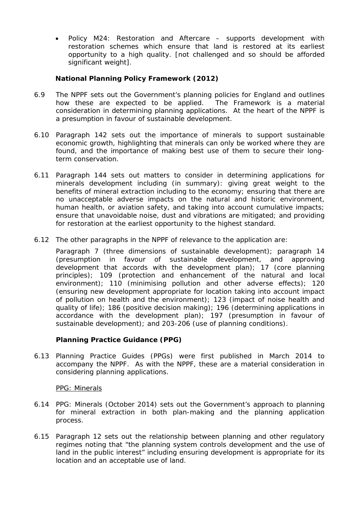• Policy M24: Restoration and Aftercare – supports development with restoration schemes which ensure that land is restored at its earliest opportunity to a high quality. [not challenged and so should be afforded significant weight].

# *National Planning Policy Framework (2012)*

- 6.9 The NPPF sets out the Government's planning policies for England and outlines how these are expected to be applied. The Framework is a material consideration in determining planning applications. At the heart of the NPPF is a presumption in favour of sustainable development.
- 6.10 Paragraph 142 sets out the importance of minerals to support sustainable economic growth, highlighting that minerals can only be worked where they are found, and the importance of making best use of them to secure their longterm conservation.
- 6.11 Paragraph 144 sets out matters to consider in determining applications for minerals development including (in summary): giving great weight to the benefits of mineral extraction including to the economy; ensuring that there are no unacceptable adverse impacts on the natural and historic environment, human health, or aviation safety, and taking into account cumulative impacts; ensure that unavoidable noise, dust and vibrations are mitigated; and providing for restoration at the earliest opportunity to the highest standard.
- 6.12 The other paragraphs in the NPPF of relevance to the application are:

Paragraph 7 (three dimensions of sustainable development); paragraph 14 (presumption in favour of sustainable development, and approving development that accords with the development plan); 17 (core planning principles); 109 (protection and enhancement of the natural and local environment); 110 (minimising pollution and other adverse effects); 120 (ensuring new development appropriate for location taking into account impact of pollution on health and the environment); 123 (impact of noise health and quality of life); 186 (positive decision making); 196 (determining applications in accordance with the development plan); 197 (presumption in favour of sustainable development); and 203-206 (use of planning conditions).

## *Planning Practice Guidance (PPG)*

6.13 Planning Practice Guides (PPGs) were first published in March 2014 to accompany the NPPF. As with the NPPF, these are a material consideration in considering planning applications.

## *PPG: Minerals*

- 6.14 PPG: Minerals (October 2014) sets out the Government's approach to planning for mineral extraction in both plan-making and the planning application process.
- 6.15 Paragraph 12 sets out the relationship between planning and other regulatory regimes noting that *"the planning system controls development and the use of land in the public interest"* including ensuring development is appropriate for its location and an acceptable use of land.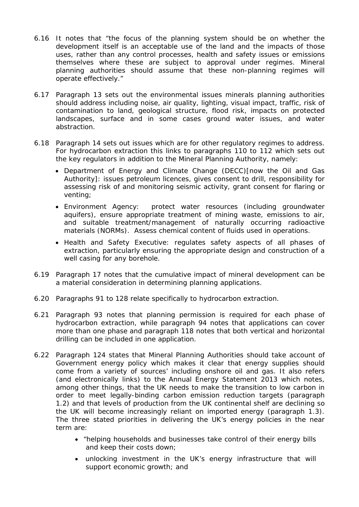- 6.16 It notes that *"the focus of the planning system should be on whether the development itself is an acceptable use of the land and the impacts of those uses, rather than any control processes, health and safety issues or emissions themselves where these are subject to approval under regimes. Mineral planning authorities should assume that these non-planning regimes will operate effectively."*
- 6.17 Paragraph 13 sets out the environmental issues minerals planning authorities should address including noise, air quality, lighting, visual impact, traffic, risk of contamination to land, geological structure, flood risk, impacts on protected landscapes, surface and in some cases ground water issues, and water abstraction.
- 6.18 Paragraph 14 sets out issues which are for other regulatory regimes to address. For hydrocarbon extraction this links to paragraphs 110 to 112 which sets out the key regulators in addition to the Mineral Planning Authority, namely:
	- Department of Energy and Climate Change (DECC)[now the Oil and Gas Authority]: issues petroleum licences, gives consent to drill, responsibility for assessing risk of and monitoring seismic activity, grant consent for flaring or venting;
	- Environment Agency: protect water resources (including groundwater aquifers), ensure appropriate treatment of mining waste, emissions to air, and suitable treatment/management of naturally occurring radioactive materials (NORMs). Assess chemical content of fluids used in operations.
	- Health and Safety Executive: regulates safety aspects of all phases of extraction, particularly ensuring the appropriate design and construction of a well casing for any borehole.
- 6.19 Paragraph 17 notes that the cumulative impact of mineral development can be a material consideration in determining planning applications.
- 6.20 Paragraphs 91 to 128 relate specifically to hydrocarbon extraction.
- 6.21 Paragraph 93 notes that planning permission is required for each phase of hydrocarbon extraction, while paragraph 94 notes that applications can cover more than one phase and paragraph 118 notes that both vertical and horizontal drilling can be included in one application.
- 6.22 Paragraph 124 states that Mineral Planning Authorities should take account of Government energy policy which makes it clear that energy supplies should come from a variety of sources' including onshore oil and gas. It also refers (and electronically links) to the Annual Energy Statement 2013 which notes, among other things, that the UK needs to make the transition to low carbon in order to meet legally-binding carbon emission reduction targets (paragraph 1.2) and that levels of production from the UK continental shelf are declining so the UK will become increasingly reliant on imported energy (paragraph 1.3). The three stated priorities in delivering the UK's energy policies in the near term are:
	- *"helping households and businesses take control of their energy bills and keep their costs down;*
	- *unlocking investment in the UK's energy infrastructure that will support economic growth; and*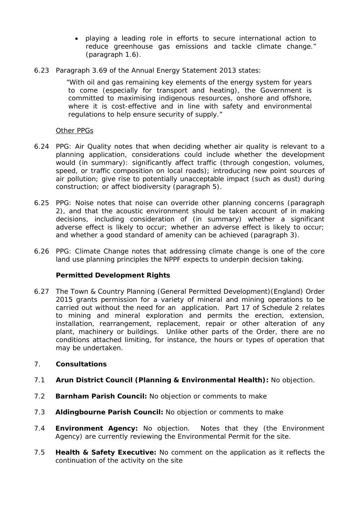- *playing a leading role in efforts to secure international action to reduce greenhouse gas emissions and tackle climate change."*  (paragraph 1.6).
- 6.23 Paragraph 3.69 of the Annual Energy Statement 2013 states:

*"With oil and gas remaining key elements of the energy system for years to come (especially for transport and heating), the Government is committed to maximising indigenous resources, onshore and offshore, where it is cost-effective and in line with safety and environmental regulations to help ensure security of supply."*

## *Other PPGs*

- 6.24 PPG: Air Quality notes that when deciding whether air quality is relevant to a planning application, considerations could include whether the development would (in summary): significantly affect traffic (through congestion, volumes, speed, or traffic composition on local roads); introducing new point sources of air pollution; give rise to potentially unacceptable impact (such as dust) during construction; or affect biodiversity (paragraph 5).
- 6.25 PPG: Noise notes that noise can override other planning concerns (paragraph 2), and that the acoustic environment should be taken account of in making decisions, including consideration of (in summary) whether a significant adverse effect is likely to occur; whether an adverse effect is likely to occur; and whether a good standard of amenity can be achieved (paragraph 3).
- 6.26 PPG: Climate Change notes that addressing climate change is one of the core land use planning principles the NPPF expects to underpin decision taking.

# *Permitted Development Rights*

6.27 The Town & Country Planning (General Permitted Development)(England) Order 2015 grants permission for a variety of mineral and mining operations to be carried out without the need for an application. Part 17 of Schedule 2 relates to mining and mineral exploration and permits the erection, extension, installation, rearrangement, replacement, repair or other alteration of any plant, machinery or buildings. Unlike other parts of the Order, there are no conditions attached limiting, for instance, the hours or types of operation that may be undertaken.

## 7. **Consultations**

- 7.1 *Arun District Council (Planning & Environmental Health):* No objection.
- 7.2 *Barnham Parish Council:* No objection or comments to make
- 7.3 *Aldingbourne Parish Council:* No objection or comments to make
- 7.4 *Environment Agency:* No objection. Notes that they (the Environment Agency) are currently reviewing the Environmental Permit for the site.
- 7.5 *Health & Safety Executive:* No comment on the application as it reflects the continuation of the activity on the site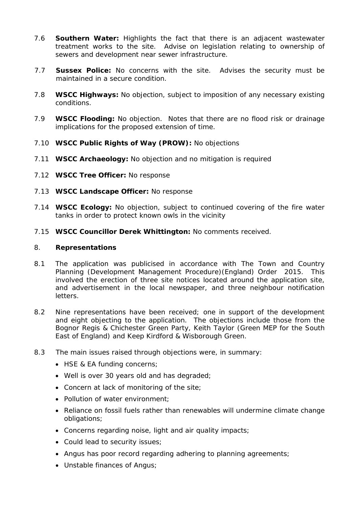- 7.6 *Southern Water:* Highlights the fact that there is an adjacent wastewater treatment works to the site. Advise on legislation relating to ownership of sewers and development near sewer infrastructure.
- 7.7 *Sussex Police:* No concerns with the site. Advises the security must be maintained in a secure condition.
- 7.8 *WSCC Highways:* No objection, subject to imposition of any necessary existing conditions.
- 7.9 *WSCC Flooding:* No objection. Notes that there are no flood risk or drainage implications for the proposed extension of time.
- 7.10 *WSCC Public Rights of Way (PROW):* No objections
- 7.11 *WSCC Archaeology:* No objection and no mitigation is required
- 7.12 *WSCC Tree Officer:* No response
- 7.13 *WSCC Landscape Officer:* No response
- 7.14 *WSCC Ecology:* No objection, subject to continued covering of the fire water tanks in order to protect known owls in the vicinity
- 7.15 *WSCC Councillor Derek Whittington:* No comments received.

## 8. **Representations**

- 8.1 The application was publicised in accordance with The Town and Country Planning (Development Management Procedure)(England) Order 2015. This involved the erection of three site notices located around the application site, and advertisement in the local newspaper, and three neighbour notification letters.
- 8.2 Nine representations have been received; one in support of the development and eight objecting to the application. The objections include those from the Bognor Regis & Chichester Green Party, Keith Taylor (Green MEP for the South East of England) and Keep Kirdford & Wisborough Green.
- 8.3 The main issues raised through objections were, in summary:
	- HSE & EA funding concerns;
	- Well is over 30 years old and has degraded;
	- Concern at lack of monitoring of the site;
	- Pollution of water environment:
	- Reliance on fossil fuels rather than renewables will undermine climate change obligations;
	- Concerns regarding noise, light and air quality impacts;
	- Could lead to security issues;
	- Angus has poor record regarding adhering to planning agreements;
	- Unstable finances of Angus;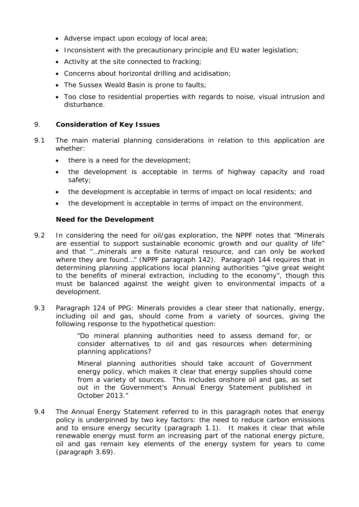- Adverse impact upon ecology of local area;
- Inconsistent with the precautionary principle and EU water legislation;
- Activity at the site connected to fracking;
- Concerns about horizontal drilling and acidisation;
- The Sussex Weald Basin is prone to faults;
- Too close to residential properties with regards to noise, visual intrusion and disturbance.

## 9. **Consideration of Key Issues**

- 9.1 The main material planning considerations in relation to this application are whether:
	- there is a need for the development;
	- the development is acceptable in terms of highway capacity and road safety;
	- the development is acceptable in terms of impact on local residents; and
	- the development is acceptable in terms of impact on the environment.

# **Need for the Development**

- 9.2 In considering the need for oil/gas exploration, the NPPF notes that "*Minerals are essential to support sustainable economic growth and our quality of life"* and that "…*minerals are a finite natural resource, and can only be worked where they are found…*" (NPPF paragraph 142). Paragraph 144 requires that in determining planning applications local planning authorities *"give great weight to the benefits of mineral extraction, including to the economy"*, though this must be balanced against the weight given to environmental impacts of a development.
- 9.3 Paragraph 124 of PPG: Minerals provides a clear steer that nationally, energy, including oil and gas, should come from a variety of sources, giving the following response to the hypothetical question:

*"Do mineral planning authorities need to assess demand for, or consider alternatives to oil and gas resources when determining planning applications?* 

*Mineral planning authorities should take account of Government energy policy, which makes it clear that energy supplies should come from a variety of sources. This includes onshore oil and gas, as set out in the Government's [Annual Energy Statement](https://www.gov.uk/government/uploads/system/uploads/attachment_data/file/254250/FINAL_PDF_of_AES_2013_-_accessible_version.pdf) published in October 2013."*

9.4 The Annual Energy Statement referred to in this paragraph notes that energy policy is underpinned by two key factors: the need to reduce carbon emissions and to ensure energy security (paragraph 1.1). It makes it clear that while renewable energy must form an increasing part of the national energy picture, oil and gas remain key elements of the energy system for years to come (paragraph 3.69).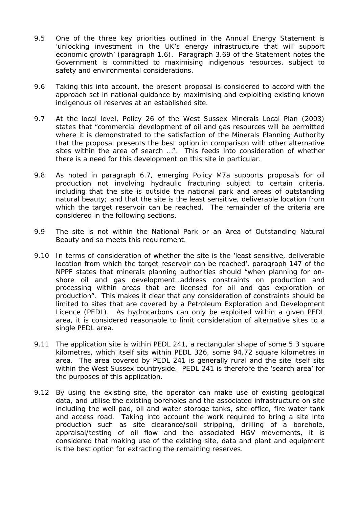- 9.5 One of the three key priorities outlined in the Annual Energy Statement is *'unlocking investment in the UK's energy infrastructure that will support economic growth'* (paragraph 1.6). Paragraph 3.69 of the Statement notes the Government is committed to maximising indigenous resources, subject to safety and environmental considerations.
- 9.6 Taking this into account, the present proposal is considered to accord with the approach set in national guidance by maximising and exploiting existing known indigenous oil reserves at an established site.
- 9.7 At the local level, Policy 26 of the West Sussex Minerals Local Plan (2003) states that *"commercial development of oil and gas resources will be permitted where it is demonstrated to the satisfaction of the Minerals Planning Authority that the proposal presents the best option in comparison with other alternative sites within the area of search …".* This feeds into consideration of whether there is a need for this development on this site in particular.
- 9.8 As noted in paragraph 6.7, emerging Policy M7a supports proposals for oil production not involving hydraulic fracturing subject to certain criteria, including that the site is outside the national park and areas of outstanding natural beauty; and that the site is the least sensitive, deliverable location from which the target reservoir can be reached. The remainder of the criteria are considered in the following sections.
- 9.9 The site is not within the National Park or an Area of Outstanding Natural Beauty and so meets this requirement.
- 9.10 In terms of consideration of whether the site is the 'least sensitive, deliverable location from which the target reservoir can be reached', paragraph 147 of the NPPF states that minerals planning authorities should *"when planning for onshore oil and gas development…address constraints on production and processing within areas that are licensed for oil and gas exploration or production".* This makes it clear that any consideration of constraints should be limited to sites that are covered by a Petroleum Exploration and Development Licence (PEDL). As hydrocarbons can only be exploited within a given PEDL area, it is considered reasonable to limit consideration of alternative sites to a single PEDL area.
- 9.11 The application site is within PEDL 241, a rectangular shape of some 5.3 square kilometres, which itself sits within PEDL 326, some 94.72 square kilometres in area. The area covered by PEDL 241 is generally rural and the site itself sits within the West Sussex countryside. PEDL 241 is therefore the 'search area' for the purposes of this application.
- 9.12 By using the existing site, the operator can make use of existing geological data, and utilise the existing boreholes and the associated infrastructure on site including the well pad, oil and water storage tanks, site office, fire water tank and access road. Taking into account the work required to bring a site into production such as site clearance/soil stripping, drilling of a borehole, appraisal/testing of oil flow and the associated HGV movements, it is considered that making use of the existing site, data and plant and equipment is the best option for extracting the remaining reserves.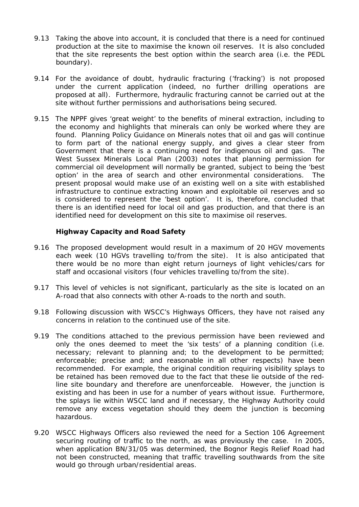- 9.13 Taking the above into account, it is concluded that there is a need for continued production at the site to maximise the known oil reserves. It is also concluded that the site represents the best option within the search area (i.e. the PEDL boundary).
- 9.14 For the avoidance of doubt, hydraulic fracturing ('fracking') is not proposed under the current application (indeed, no further drilling operations are proposed at all). Furthermore, hydraulic fracturing cannot be carried out at the site without further permissions and authorisations being secured.
- 9.15 *The NPPF gives 'great weight' to the benefits of mineral extraction, including to the economy and highlights that minerals can only be worked where they are found. Planning Policy Guidance on Minerals notes that oil and gas will continue*  to form part of the national energy supply, and gives a clear steer from *Government that there is a continuing need for indigenous oil and gas. The West Sussex Minerals Local Plan (2003) notes that planning permission for commercial oil development will normally be granted, subject to being the 'best option' in the area of search and other environmental considerations. The present proposal would make use of an existing well on a site with established infrastructure to continue extracting known and exploitable oil reserves and so is considered to represent the 'best option'. It is, therefore, concluded that there is an identified need for local oil and gas production, and that there is an identified need for development on this site to maximise oil reserves.*

## **Highway Capacity and Road Safety**

- 9.16 The proposed development would result in a maximum of 20 HGV movements each week (10 HGVs travelling to/from the site). It is also anticipated that there would be no more than eight return journeys of light vehicles/cars for staff and occasional visitors (four vehicles travelling to/from the site).
- 9.17 This level of vehicles is not significant, particularly as the site is located on an A-road that also connects with other A-roads to the north and south.
- 9.18 Following discussion with WSCC's Highways Officers, they have not raised any concerns in relation to the continued use of the site.
- 9.19 The conditions attached to the previous permission have been reviewed and only the ones deemed to meet the 'six tests' of a planning condition (i.e. *necessary; relevant to planning and; to the development to be permitted; enforceable; precise and; and reasonable in all other respects)* have been recommended. For example, the original condition requiring visibility splays to be retained has been removed due to the fact that these lie outside of the redline site boundary and therefore are unenforceable. However, the junction is existing and has been in use for a number of years without issue. Furthermore, the splays lie within WSCC land and if necessary, the Highway Authority could remove any excess vegetation should they deem the junction is becoming hazardous.
- 9.20 WSCC Highways Officers also reviewed the need for a Section 106 Agreement securing routing of traffic to the north, as was previously the case. In 2005, when application BN/31/05 was determined, the Bognor Regis Relief Road had not been constructed, meaning that traffic travelling southwards from the site would go through urban/residential areas.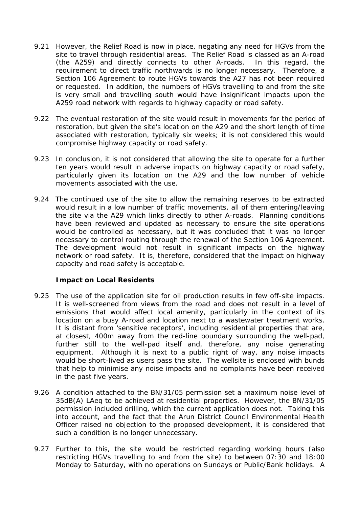- 9.21 However, the Relief Road is now in place, negating any need for HGVs from the site to travel through residential areas. The Relief Road is classed as an A-road (the A259) and directly connects to other A-roads. In this regard, the requirement to direct traffic northwards is no longer necessary. Therefore, a Section 106 Agreement to route HGVs towards the A27 has not been required or requested. In addition, the numbers of HGVs travelling to and from the site is very small and travelling south would have insignificant impacts upon the A259 road network with regards to highway capacity or road safety.
- 9.22 The eventual restoration of the site would result in movements for the period of restoration, but given the site's location on the A29 and the short length of time associated with restoration, typically six weeks; it is not considered this would compromise highway capacity or road safety.
- 9.23 In conclusion, it is not considered that allowing the site to operate for a further ten years would result in adverse impacts on highway capacity or road safety, particularly given its location on the A29 and the low number of vehicle movements associated with the use.
- 9.24 *The continued use of the site to allow the remaining reserves to be extracted*  would result in a low number of traffic movements, all of them entering/leaving *the site via the A29 which links directly to other A-roads. Planning conditions have been reviewed and updated as necessary to ensure the site operations would be controlled as necessary, but it was concluded that it was no longer necessary to control routing through the renewal of the Section 106 Agreement. The development would not result in significant impacts on the highway network or road safety. It is, therefore, considered that the impact on highway capacity and road safety is acceptable.*

## **Impact on Local Residents**

- 9.25 The use of the application site for oil production results in few off-site impacts. It is well-screened from views from the road and does not result in a level of emissions that would affect local amenity, particularly in the context of its location on a busy A-road and location next to a wastewater treatment works. It is distant from 'sensitive receptors', including residential properties that are, at closest, 400m away from the red-line boundary surrounding the well-pad, further still to the well-pad itself and, therefore, any noise generating equipment. Although it is next to a public right of way, any noise impacts would be short-lived as users pass the site. The wellsite is enclosed with bunds that help to minimise any noise impacts and no complaints have been received in the past five years.
- 9.26 A condition attached to the BN/31/05 permission set a maximum noise level of 35dB(A) LAeq to be achieved at residential properties. However, the BN/31/05 permission included drilling, which the current application does not. Taking this into account, and the fact that the Arun District Council Environmental Health Officer raised no objection to the proposed development, it is considered that such a condition is no longer unnecessary.
- 9.27 Further to this, the site would be restricted regarding working hours (also restricting HGVs travelling to and from the site) to between 07:30 and 18:00 Monday to Saturday, with no operations on Sundays or Public/Bank holidays. A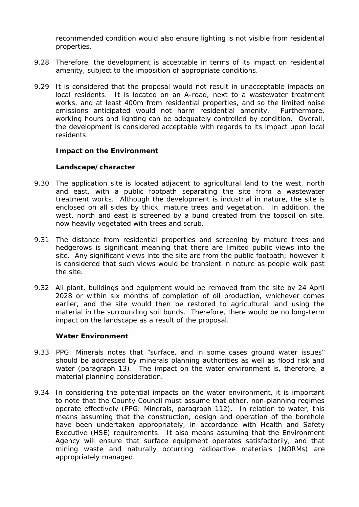recommended condition would also ensure lighting is not visible from residential properties.

- 9.28 Therefore, the development is acceptable in terms of its impact on residential amenity, subject to the imposition of appropriate conditions.
- 9.29 *It is considered that the proposal would not result in unacceptable impacts on local residents.* It is located on an A-road, next to a wastewater treatment *works, and at least 400m from residential properties, and so the limited noise emissions anticipated would not harm residential amenity. Furthermore, working hours and lighting can be adequately controlled by condition. Overall, the development is considered acceptable with regards to its impact upon local residents.*

#### **Impact on the Environment**

#### *Landscape/character*

- 9.30 The application site is located adjacent to agricultural land to the west, north and east, with a public footpath separating the site from a wastewater treatment works. Although the development is industrial in nature, the site is enclosed on all sides by thick, mature trees and vegetation. In addition, the west, north and east is screened by a bund created from the topsoil on site, now heavily vegetated with trees and scrub.
- 9.31 The distance from residential properties and screening by mature trees and hedgerows is significant meaning that there are limited public views into the site. Any significant views into the site are from the public footpath; however it is considered that such views would be transient in nature as people walk past the site.
- 9.32 All plant, buildings and equipment would be removed from the site by 24 April 2028 or within six months of completion of oil production, whichever comes earlier, and the site would then be restored to agricultural land using the material in the surrounding soil bunds. Therefore, there would be no long-term impact on the landscape as a result of the proposal.

## *Water Environment*

- 9.33 PPG: Minerals notes that *"surface, and in some cases ground water issues"* should be addressed by minerals planning authorities as well as flood risk and water (paragraph 13). The impact on the water environment is, therefore, a material planning consideration.
- 9.34 In considering the potential impacts on the water environment, it is important to note that the County Council must assume that other, non-planning regimes operate effectively (PPG: Minerals, paragraph 112). In relation to water, this means assuming that the construction, design and operation of the borehole have been undertaken appropriately, in accordance with Health and Safety Executive (HSE) requirements. It also means assuming that the Environment Agency will ensure that surface equipment operates satisfactorily, and that mining waste and naturally occurring radioactive materials (NORMs) are appropriately managed.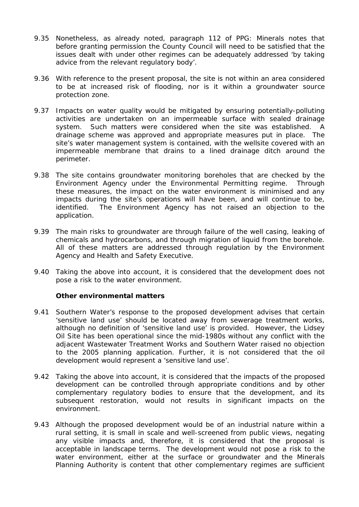- 9.35 Nonetheless, as already noted, paragraph 112 of PPG: Minerals notes that before granting permission the County Council will need to be satisfied that the issues dealt with under other regimes can be adequately addressed 'by taking advice from the relevant regulatory body'.
- 9.36 With reference to the present proposal, the site is not within an area considered to be at increased risk of flooding, nor is it within a groundwater source protection zone.
- 9.37 Impacts on water quality would be mitigated by ensuring potentially-polluting activities are undertaken on an impermeable surface with sealed drainage system. Such matters were considered when the site was established. A drainage scheme was approved and appropriate measures put in place. The site's water management system is contained, with the wellsite covered with an impermeable membrane that drains to a lined drainage ditch around the perimeter.
- 9.38 The site contains groundwater monitoring boreholes that are checked by the Environment Agency under the Environmental Permitting regime. Through these measures, the impact on the water environment is minimised and any impacts during the site's operations will have been, and will continue to be, identified. The Environment Agency has not raised an objection to the application.
- 9.39 The main risks to groundwater are through failure of the well casing, leaking of chemicals and hydrocarbons, and through migration of liquid from the borehole. All of these matters are addressed through regulation by the Environment Agency and Health and Safety Executive.
- 9.40 Taking the above into account, it is considered that the development does not pose a risk to the water environment.

## *Other environmental matters*

- 9.41 Southern Water's response to the proposed development advises that certain 'sensitive land use' should be located away from sewerage treatment works, although no definition of 'sensitive land use' is provided. However, the Lidsey Oil Site has been operational since the mid-1980s without any conflict with the adjacent Wastewater Treatment Works and Southern Water raised no objection to the 2005 planning application. Further, it is not considered that the oil development would represent a 'sensitive land use'.
- 9.42 Taking the above into account, it is considered that the impacts of the proposed development can be controlled through appropriate conditions and by other complementary regulatory bodies to ensure that the development, and its subsequent restoration, would not results in significant impacts on the environment.
- 9.43 *Although the proposed development would be of an industrial nature within a rural setting, it is small in scale and well-screened from public views, negating any visible impacts and, therefore, it is considered that the proposal is acceptable in landscape terms. The development would not pose a risk to the water environment, either at the surface or groundwater and the Minerals Planning Authority is content that other complementary regimes are sufficient*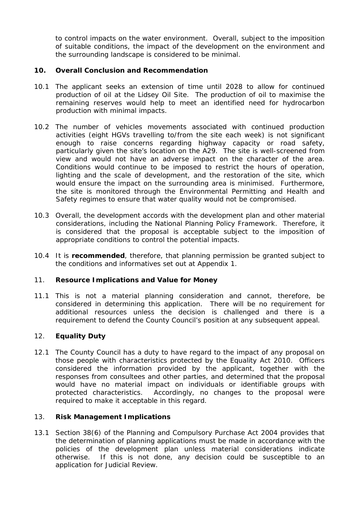*to control impacts on the water environment. Overall, subject to the imposition of suitable conditions, the impact of the development on the environment and the surrounding landscape is considered to be minimal.*

# **10. Overall Conclusion and Recommendation**

- 10.1 The applicant seeks an extension of time until 2028 to allow for continued production of oil at the Lidsey Oil Site. The production of oil to maximise the remaining reserves would help to meet an identified need for hydrocarbon production with minimal impacts.
- 10.2 The number of vehicles movements associated with continued production activities (eight HGVs travelling to/from the site each week) is not significant enough to raise concerns regarding highway capacity or road safety, particularly given the site's location on the A29. The site is well-screened from view and would not have an adverse impact on the character of the area. Conditions would continue to be imposed to restrict the hours of operation, lighting and the scale of development, and the restoration of the site, which would ensure the impact on the surrounding area is minimised. Furthermore, the site is monitored through the Environmental Permitting and Health and Safety regimes to ensure that water quality would not be compromised.
- 10.3 Overall, the development accords with the development plan and other material considerations, including the National Planning Policy Framework. Therefore, it is considered that the proposal is acceptable subject to the imposition of appropriate conditions to control the potential impacts.
- 10.4 It is **recommended**, therefore, that planning permission be granted subject to the conditions and informatives set out at Appendix 1.

## 11. **Resource Implications and Value for Money**

11.1 This is not a material planning consideration and cannot, therefore, be considered in determining this application. There will be no requirement for additional resources unless the decision is challenged and there is a requirement to defend the County Council's position at any subsequent appeal.

# 12. **Equality Duty**

12.1 The County Council has a duty to have regard to the impact of any proposal on those people with characteristics protected by the Equality Act 2010. Officers considered the information provided by the applicant, together with the responses from consultees and other parties, and determined that the proposal would have no material impact on individuals or identifiable groups with protected characteristics. Accordingly, no changes to the proposal were required to make it acceptable in this regard.

## 13. **Risk Management Implications**

13.1 Section 38(6) of the Planning and Compulsory Purchase Act 2004 provides that the determination of planning applications must be made in accordance with the policies of the development plan unless material considerations indicate otherwise. If this is not done, any decision could be susceptible to an application for Judicial Review.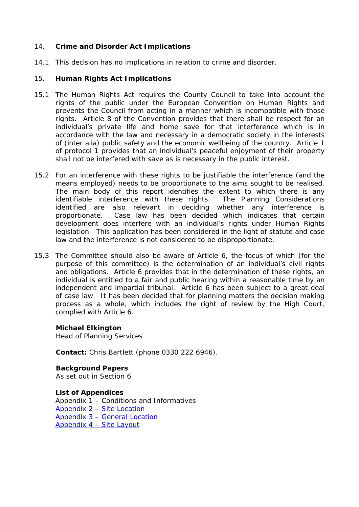## 14. **Crime and Disorder Act Implications**

14.1 This decision has no implications in relation to crime and disorder.

## 15. **Human Rights Act Implications**

- 15.1 The Human Rights Act requires the County Council to take into account the rights of the public under the European Convention on Human Rights and prevents the Council from acting in a manner which is incompatible with those rights. Article 8 of the Convention provides that there shall be respect for an individual's private life and home save for that interference which is in accordance with the law and necessary in a democratic society in the interests of (inter alia) public safety and the economic wellbeing of the country. Article 1 of protocol 1 provides that an individual's peaceful enjoyment of their property shall not be interfered with save as is necessary in the public interest.
- 15.2 For an interference with these rights to be justifiable the interference (and the means employed) needs to be proportionate to the aims sought to be realised. The main body of this report identifies the extent to which there is any identifiable interference with these rights. The Planning Considerations identified are also relevant in deciding whether any interference is proportionate. Case law has been decided which indicates that certain development does interfere with an individual's rights under Human Rights legislation. This application has been considered in the light of statute and case law and the interference is not considered to be disproportionate.
- 15.3 The Committee should also be aware of Article 6, the focus of which (for the purpose of this committee) is the determination of an individual's civil rights and obligations. Article 6 provides that in the determination of these rights, an individual is entitled to a fair and public hearing within a reasonable time by an independent and impartial tribunal. Article 6 has been subject to a great deal of case law. It has been decided that for planning matters the decision making process as a whole, which includes the right of review by the High Court, complied with Article 6.

## **Michael Elkington**

Head of Planning Services

**Contact:** Chris Bartlett (phone 0330 222 6946).

**Background Papers** As set out in Section 6

**List of Appendices** Appendix 1 – Conditions and Informatives [Appendix 2 –](http://www2.westsussex.gov.uk/ds/cttee/plng/plng240418i4a2.pdf) Site Location Appendix 3 – [General Location](http://www2.westsussex.gov.uk/ds/cttee/plng/plng240418i4a3.pdf) [Appendix 4 –](http://www2.westsussex.gov.uk/ds/cttee/plng/plng240418i4a4.pdf) Site Layout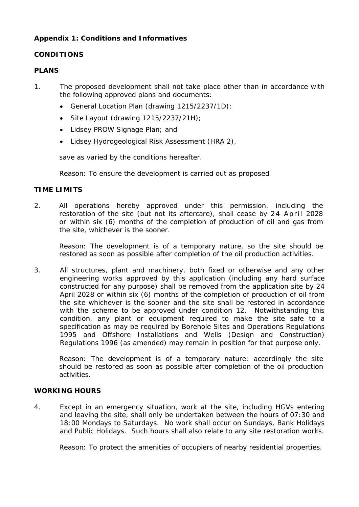# **Appendix 1: Conditions and Informatives**

# **CONDITIONS**

# **PLANS**

- 1. The proposed development shall not take place other than in accordance with the following approved plans and documents:
	- General Location Plan (drawing 1215/2237/1D);
	- Site Layout (drawing  $1215/2237/21H$ );
	- Lidsey PROW Signage Plan; and
	- Lidsey Hydrogeological Risk Assessment (HRA 2),

save as varied by the conditions hereafter.

Reason: *To ensure the development is carried out as proposed*

# **TIME LIMITS**

2. All operations hereby approved under this permission, including the restoration of the site (but not its aftercare), shall cease by 24 April 2028 or within six (6) months of the completion of production of oil and gas from the site, whichever is the sooner.

Reason: *The development is of a temporary nature, so the site should be restored as soon as possible after completion of the oil production activities.*

3. All structures, plant and machinery, both fixed or otherwise and any other engineering works approved by this application (including any hard surface constructed for any purpose) shall be removed from the application site by 24 April 2028 or within six (6) months of the completion of production of oil from the site whichever is the sooner and the site shall be restored in accordance with the scheme to be approved under condition 12. Notwithstanding this condition, any plant or equipment required to make the site safe to a specification as may be required by Borehole Sites and Operations Regulations 1995 and Offshore Installations and Wells (Design and Construction) Regulations 1996 (as amended) may remain in position for that purpose only.

Reason: *The development is of a temporary nature; accordingly the site should be restored as soon as possible after completion of the oil production activities.*

## **WORKING HOURS**

4. Except in an emergency situation, work at the site, including HGVs entering and leaving the site, shall only be undertaken between the hours of 07:30 and 18:00 Mondays to Saturdays. No work shall occur on Sundays, Bank Holidays and Public Holidays. Such hours shall also relate to any site restoration works.

Reason: *To protect the amenities of occupiers of nearby residential properties.*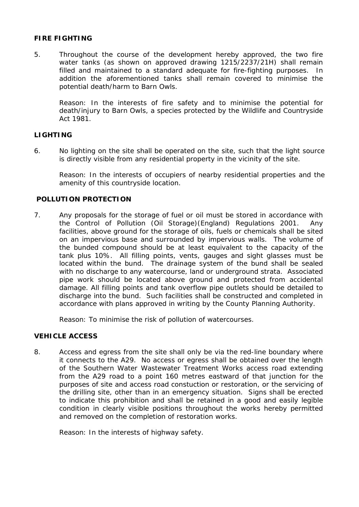## **FIRE FIGHTING**

5. Throughout the course of the development hereby approved, the two fire water tanks (as shown on approved drawing 1215/2237/21H) shall remain filled and maintained to a standard adequate for fire-fighting purposes. In addition the aforementioned tanks shall remain covered to minimise the potential death/harm to Barn Owls.

Reason: *In the interests of fire safety and to minimise the potential for death/injury to Barn Owls, a species protected by the Wildlife and Countryside Act 1981.*

## **LIGHTING**

6. No lighting on the site shall be operated on the site, such that the light source is directly visible from any residential property in the vicinity of the site.

Reason: *In the interests of occupiers of nearby residential properties and the amenity of this countryside location.*

## **POLLUTION PROTECTION**

7. Any proposals for the storage of fuel or oil must be stored in accordance with the Control of Pollution (Oil Storage)(England) Regulations 2001. Any facilities, above ground for the storage of oils, fuels or chemicals shall be sited on an impervious base and surrounded by impervious walls. The volume of the bunded compound should be at least equivalent to the capacity of the tank plus 10%. All filling points, vents, gauges and sight glasses must be located within the bund. The drainage system of the bund shall be sealed with no discharge to any watercourse, land or underground strata. Associated pipe work should be located above ground and protected from accidental damage. All filling points and tank overflow pipe outlets should be detailed to discharge into the bund. Such facilities shall be constructed and completed in accordance with plans approved in writing by the County Planning Authority.

*Reason: To minimise the risk of pollution of watercourses.*

## **VEHICLE ACCESS**

8. Access and egress from the site shall only be via the red-line boundary where it connects to the A29. No access or egress shall be obtained over the length of the Southern Water Wastewater Treatment Works access road extending from the A29 road to a point 160 metres eastward of that junction for the purposes of site and access road constuction or restoration, or the servicing of the drilling site, other than in an emergency situation. Signs shall be erected to indicate this prohibition and shall be retained in a good and easily legible condition in clearly visible positions throughout the works hereby permitted and removed on the completion of restoration works.

Reason: *In the interests of highway safety.*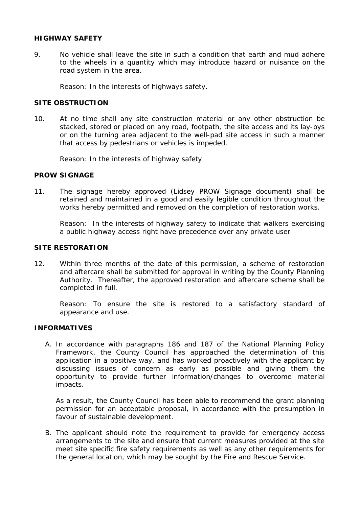## **HIGHWAY SAFETY**

9. No vehicle shall leave the site in such a condition that earth and mud adhere to the wheels in a quantity which may introduce hazard or nuisance on the road system in the area.

Reason: *In the interests of highways safety.*

## **SITE OBSTRUCTION**

10. At no time shall any site construction material or any other obstruction be stacked, stored or placed on any road, footpath, the site access and its lay-bys or on the turning area adjacent to the well-pad site access in such a manner that access by pedestrians or vehicles is impeded.

Reason: *In the interests of highway safety*

#### **PROW SIGNAGE**

11. The signage hereby approved (Lidsey PROW Signage document) shall be retained and maintained in a good and easily legible condition throughout the works hereby permitted and removed on the completion of restoration works.

Reason: *In the interests of highway safety to indicate that walkers exercising a public highway access right have precedence over any private user*

## **SITE RESTORATION**

12. Within three months of the date of this permission, a scheme of restoration and aftercare shall be submitted for approval in writing by the County Planning Authority. Thereafter, the approved restoration and aftercare scheme shall be completed in full.

Reason: *To ensure the site is restored to a satisfactory standard of appearance and use.*

## **INFORMATIVES**

A. In accordance with paragraphs 186 and 187 of the National Planning Policy Framework, the County Council has approached the determination of this application in a positive way, and has worked proactively with the applicant by discussing issues of concern as early as possible and giving them the opportunity to provide further information/changes to overcome material impacts.

As a result, the County Council has been able to recommend the grant planning permission for an acceptable proposal, in accordance with the presumption in favour of sustainable development.

B. The applicant should note the requirement to provide for emergency access arrangements to the site and ensure that current measures provided at the site meet site specific fire safety requirements as well as any other requirements for the general location, which may be sought by the Fire and Rescue Service.